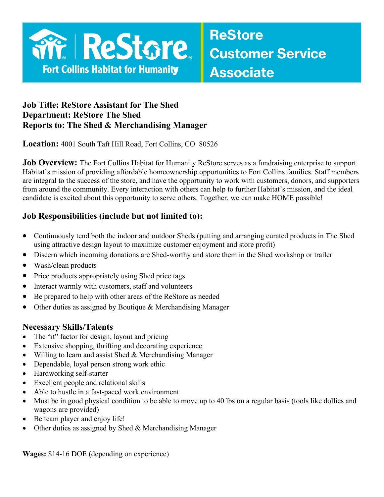

### **Job Title: ReStore Assistant for The Shed Department: ReStore The Shed Reports to: The Shed & Merchandising Manager**

**Location:** 4001 South Taft Hill Road, Fort Collins, CO 80526

**Job Overview:** The Fort Collins Habitat for Humanity ReStore serves as a fundraising enterprise to support Habitat's mission of providing affordable homeownership opportunities to Fort Collins families. Staff members are integral to the success of the store, and have the opportunity to work with customers, donors, and supporters from around the community. Every interaction with others can help to further Habitat's mission, and the ideal candidate is excited about this opportunity to serve others. Together, we can make HOME possible!

### **Job Responsibilities (include but not limited to):**

- Continuously tend both the indoor and outdoor Sheds (putting and arranging curated products in The Shed using attractive design layout to maximize customer enjoyment and store profit)
- Discern which incoming donations are Shed-worthy and store them in the Shed workshop or trailer
- Wash/clean products
- Price products appropriately using Shed price tags
- Interact warmly with customers, staff and volunteers
- Be prepared to help with other areas of the ReStore as needed
- Other duties as assigned by Boutique & Merchandising Manager

### **Necessary Skills/Talents**

- The "it" factor for design, layout and pricing
- Extensive shopping, thrifting and decorating experience
- Willing to learn and assist Shed & Merchandising Manager
- Dependable, loyal person strong work ethic
- Hardworking self-starter
- Excellent people and relational skills
- Able to hustle in a fast-paced work environment
- Must be in good physical condition to be able to move up to 40 lbs on a regular basis (tools like dollies and wagons are provided)
- Be team player and enjoy life!
- Other duties as assigned by Shed & Merchandising Manager

**Wages:** \$14-16 DOE (depending on experience)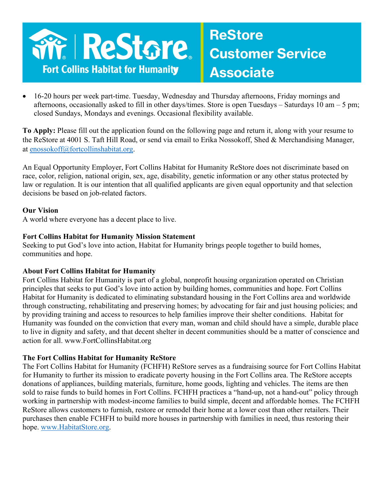

## **ReStore Customer Service Associate**

• 16-20 hours per week part-time. Tuesday, Wednesday and Thursday afternoons, Friday mornings and afternoons, occasionally asked to fill in other days/times. Store is open Tuesdays – Saturdays 10 am – 5 pm; closed Sundays, Mondays and evenings. Occasional flexibility available.

**To Apply:** Please fill out the application found on the following page and return it, along with your resume to the ReStore at 4001 S. Taft Hill Road, or send via email to Erika Nossokoff, Shed & Merchandising Manager, at [enossokoff@fortcollinshabitat.org.](mailto:enossokoff@fortcollinshabitat.org)

An Equal Opportunity Employer, Fort Collins Habitat for Humanity ReStore does not discriminate based on race, color, religion, national origin, sex, age, disability, genetic information or any other status protected by law or regulation. It is our intention that all qualified applicants are given equal opportunity and that selection decisions be based on job-related factors.

### **Our Vision**

A world where everyone has a decent place to live.

#### **Fort Collins Habitat for Humanity Mission Statement**

Seeking to put God's love into action, Habitat for Humanity brings people together to build homes, communities and hope.

### **About Fort Collins Habitat for Humanity**

Fort Collins Habitat for Humanity is part of a global, nonprofit housing organization operated on Christian principles that seeks to put God's love into action by building homes, communities and hope. Fort Collins Habitat for Humanity is dedicated to eliminating substandard housing in the Fort Collins area and worldwide through constructing, rehabilitating and preserving homes; by advocating for fair and just housing policies; and by providing training and access to resources to help families improve their shelter conditions. Habitat for Humanity was founded on the conviction that every man, woman and child should have a simple, durable place to live in dignity and safety, and that decent shelter in decent communities should be a matter of conscience and action for all. www.FortCollinsHabitat.org

### **The Fort Collins Habitat for Humanity ReStore**

The Fort Collins Habitat for Humanity (FCHFH) ReStore serves as a fundraising source for Fort Collins Habitat for Humanity to further its mission to eradicate poverty housing in the Fort Collins area. The ReStore accepts donations of appliances, building materials, furniture, home goods, lighting and vehicles. The items are then sold to raise funds to build homes in Fort Collins. FCHFH practices a "hand-up, not a hand-out" policy through working in partnership with modest-income families to build simple, decent and affordable homes. The FCHFH ReStore allows customers to furnish, restore or remodel their home at a lower cost than other retailers. Their purchases then enable FCHFH to build more houses in partnership with families in need, thus restoring their hope. [www.HabitatStore.org.](http://www.habitatstore.org/)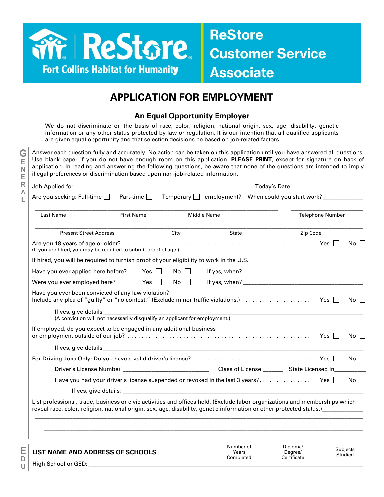

**G E N E R A L**

> **E D U**

### **ReStore Customer Service Associate**

### **APPLICATION FOR EMPLOYMENT**

### **An Equal Opportunity Employer**

We do not discriminate on the basis of race, color, religion, national origin, sex, age, disability, genetic information or any other status protected by law or regulation. It is our intention that all qualified applicants are given equal opportunity and that selection decisions be based on job-related factors.

Answer each question fully and accurately. No action can be taken on this application until you have answered all questions. Use blank paper if you do not have enough room on this application. **PLEASE PRINT**, except for signature on back of application. In reading and answering the following questions, be aware that none of the questions are intended to imply illegal preferences or discrimination based upon non-job-related information. Job Applied for \_\_\_\_\_\_\_\_\_\_\_\_\_\_\_\_\_\_\_\_\_\_\_\_\_\_\_\_\_\_\_\_\_\_\_\_\_\_\_\_\_\_\_\_\_\_\_\_\_\_\_\_\_\_\_\_\_\_\_\_\_ Today's Date \_\_\_\_\_\_\_\_\_\_\_\_\_\_\_\_\_\_\_\_\_\_\_\_\_ Are you seeking: Full-time Part-time Temporary employment? When could you start work? \_\_\_\_\_\_\_\_\_\_\_\_\_\_ \_\_\_\_\_\_\_\_\_\_\_\_\_\_\_\_\_\_\_\_\_\_\_\_\_\_\_\_\_\_\_\_\_\_\_\_\_\_\_\_\_\_\_\_\_\_\_\_\_\_\_\_\_\_\_\_\_\_\_\_\_\_\_\_\_\_\_\_\_\_\_\_\_\_\_\_\_ \_\_\_\_\_\_\_\_\_\_\_\_\_\_\_\_\_\_\_\_\_\_\_ Last Name Telephone Number Controller Middle Name Controller Medicine Telephone Number \_\_\_\_\_\_\_\_\_\_\_\_\_\_\_\_\_\_\_\_\_\_\_\_\_\_\_\_\_\_\_\_\_\_\_\_\_\_\_\_\_\_\_\_\_\_\_\_\_\_\_\_\_\_\_\_\_\_\_\_\_\_\_\_\_\_\_\_\_\_\_\_\_\_\_\_\_\_\_\_\_\_\_\_\_\_\_\_\_\_\_\_\_\_\_\_\_\_\_\_\_\_\_\_ Present Street Address City City State Street Address City Are you 18 years of age or older?........................................................ Yes No (If you are hired, you may be required to submit proof of age.) If hired, you will be required to furnish proof of your eligibility to work in the U.S. Have you ever applied here before? Yes No If yes, when? \_\_\_\_\_\_\_\_\_\_\_\_\_\_\_\_\_\_\_\_\_\_\_\_\_\_\_\_\_\_\_\_\_\_\_\_\_\_\_\_\_\_ Were you ever employed here? Yes No If yes, when? \_\_\_\_\_\_\_\_\_\_\_\_\_\_\_\_\_\_\_\_\_\_\_\_\_\_\_\_\_\_\_\_\_\_\_\_\_\_\_\_\_\_ Have you ever been convicted of any law violation? Include any plea of "guilty" or "no contest." (Exclude minor traffic violations.) ..................... Yes No If yes, give details (A conviction will not necessarily disqualify an applicant for employment.) If employed, do you expect to be engaged in any additional business or employment outside of our job? ...................................................... Yes No If yes, give details For Driving Jobs Only: Do you have a valid driver's license? ................................... Yes No Driver's License Number \_\_\_\_\_\_\_\_\_\_\_\_\_\_\_\_\_\_\_\_\_\_\_\_\_\_\_\_\_\_ Class of License \_\_\_\_\_\_\_ State Licensed In\_\_\_\_\_\_\_\_\_\_\_ Have you had your driver's license suspended or revoked in the last 3 years? ................ Yes No If yes, give details: List professional, trade, business or civic activities and offices held. (Exclude labor organizations and memberships which reveal race, color, religion, national origin, sex, age, disability, genetic information or other protected status.) \_\_\_\_\_\_\_\_\_\_\_\_\_\_\_\_\_\_\_\_\_\_\_\_\_\_\_\_\_\_\_\_\_\_\_\_\_\_\_\_\_\_\_\_\_\_\_\_\_\_\_\_\_\_\_\_\_\_\_\_\_\_\_\_\_\_\_\_\_\_\_\_\_\_\_\_\_\_\_\_\_\_\_\_\_\_\_\_\_\_\_\_\_\_\_\_\_\_\_\_\_\_\_\_  $\mathcal{L}_\mathcal{L} = \mathcal{L}_\mathcal{L} = \mathcal{L}_\mathcal{L} = \mathcal{L}_\mathcal{L} = \mathcal{L}_\mathcal{L} = \mathcal{L}_\mathcal{L} = \mathcal{L}_\mathcal{L} = \mathcal{L}_\mathcal{L} = \mathcal{L}_\mathcal{L} = \mathcal{L}_\mathcal{L} = \mathcal{L}_\mathcal{L} = \mathcal{L}_\mathcal{L} = \mathcal{L}_\mathcal{L} = \mathcal{L}_\mathcal{L} = \mathcal{L}_\mathcal{L} = \mathcal{L}_\mathcal{L} = \mathcal{L}_\mathcal{L}$ 

**LIST NAME AND ADDRESS OF SCHOOLS** Number of Years Completed Diploma/ Degree/ **Certificate** Subjects Studied High School or GED: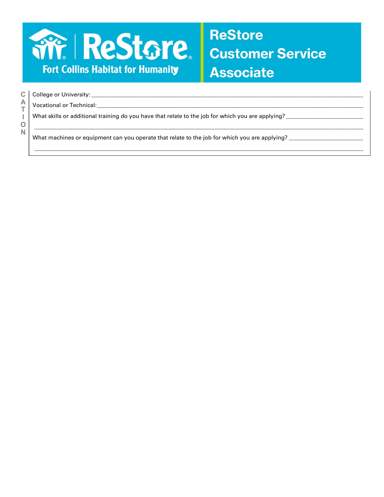

## **ReStore** Customer Service **Associate**

|        | C   College or University: _________                                                              |
|--------|---------------------------------------------------------------------------------------------------|
|        | Vocational or Technical:                                                                          |
|        | What skills or additional training do you have that relate to the job for which you are applying? |
| О<br>N |                                                                                                   |
|        | What machines or equipment can you operate that relate to the job for which you are applying?     |
|        |                                                                                                   |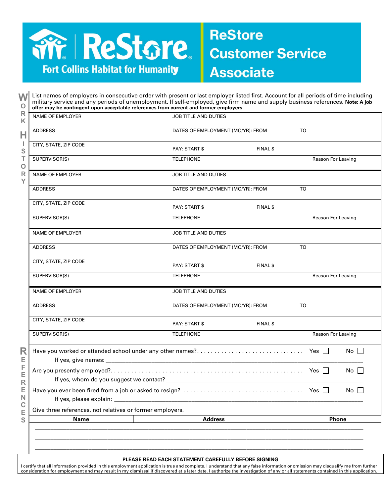

**ReStore Customer Service Associate** 

**W O R K H I S T O R Y**

| V V<br>$\circ$                         | military service and any periods of unemployment. If self-employed, give firm name and supply business references. Note: A job<br>offer may be contingent upon acceptable references from current and former employers. |                                                |           |                      |  |
|----------------------------------------|-------------------------------------------------------------------------------------------------------------------------------------------------------------------------------------------------------------------------|------------------------------------------------|-----------|----------------------|--|
| $\mathsf{R}$<br>Κ                      | <b>NAME OF EMPLOYER</b>                                                                                                                                                                                                 | <b>JOB TITLE AND DUTIES</b>                    |           |                      |  |
| Н                                      | <b>ADDRESS</b>                                                                                                                                                                                                          | <b>TO</b><br>DATES OF EMPLOYMENT (MO/YR): FROM |           |                      |  |
| J.<br>${\mathbb S}$                    | CITY, STATE, ZIP CODE                                                                                                                                                                                                   | <b>PAY: START \$</b>                           | FINAL \$  |                      |  |
| T<br>$\mathsf O$                       | SUPERVISOR(S)                                                                                                                                                                                                           | <b>TELEPHONE</b>                               |           | Reason For Leaving   |  |
| $\mathsf{R}$<br>Y                      | <b>NAME OF EMPLOYER</b>                                                                                                                                                                                                 | <b>JOB TITLE AND DUTIES</b>                    |           |                      |  |
|                                        | <b>ADDRESS</b>                                                                                                                                                                                                          | DATES OF EMPLOYMENT (MO/YR): FROM              | TO        |                      |  |
| R<br>Е<br>F<br>E<br>$\mathsf{R}% _{T}$ | CITY, STATE, ZIP CODE                                                                                                                                                                                                   | <b>PAY: START \$</b>                           | FINAL \$  |                      |  |
|                                        | SUPERVISOR(S)                                                                                                                                                                                                           | <b>TELEPHONE</b>                               |           | Reason For Leaving   |  |
|                                        | NAME OF EMPLOYER                                                                                                                                                                                                        | <b>JOB TITLE AND DUTIES</b>                    |           |                      |  |
|                                        | <b>ADDRESS</b>                                                                                                                                                                                                          | DATES OF EMPLOYMENT (MO/YR): FROM              | <b>TO</b> |                      |  |
|                                        | CITY, STATE, ZIP CODE                                                                                                                                                                                                   | PAY: START \$                                  | FINAL \$  |                      |  |
|                                        | SUPERVISOR(S)                                                                                                                                                                                                           | <b>TELEPHONE</b>                               |           | Reason For Leaving   |  |
|                                        | <b>NAME OF EMPLOYER</b>                                                                                                                                                                                                 | <b>JOB TITLE AND DUTIES</b>                    |           |                      |  |
|                                        | <b>ADDRESS</b>                                                                                                                                                                                                          | DATES OF EMPLOYMENT (MO/YR): FROM              | <b>TO</b> |                      |  |
|                                        | CITY, STATE, ZIP CODE                                                                                                                                                                                                   | <b>PAY: START \$</b>                           | FINAL \$  |                      |  |
|                                        | SUPERVISOR(S)                                                                                                                                                                                                           | <b>TELEPHONE</b>                               |           | Reason For Leaving   |  |
|                                        |                                                                                                                                                                                                                         |                                                |           | No $\Box$            |  |
|                                        | If yes, whom do you suggest we contact?                                                                                                                                                                                 |                                                |           | No I                 |  |
| Е<br>$\mathsf{N}$                      |                                                                                                                                                                                                                         |                                                |           | $No$ $\vert \ \vert$ |  |
| $\mathbf C$<br>E                       | If yes, please explain: _______<br><u> 1980 - John Stein, Amerikaansk politiker (* 1900)</u><br>Give three references, not relatives or former employers.                                                               |                                                |           |                      |  |
| S                                      | <b>Name</b>                                                                                                                                                                                                             | <b>Address</b>                                 |           | Phone                |  |
|                                        |                                                                                                                                                                                                                         |                                                |           |                      |  |

List names of employers in consecutive order with present or last employer listed first. Account for all periods of time including

#### **PLEASE READ EACH STATEMENT CAREFULLY BEFORE SIGNING**

l certify that all information provided in this employment application is true and complete. I understand that any false information or omission may disqualify me from further<br>consideration for employment and may result in